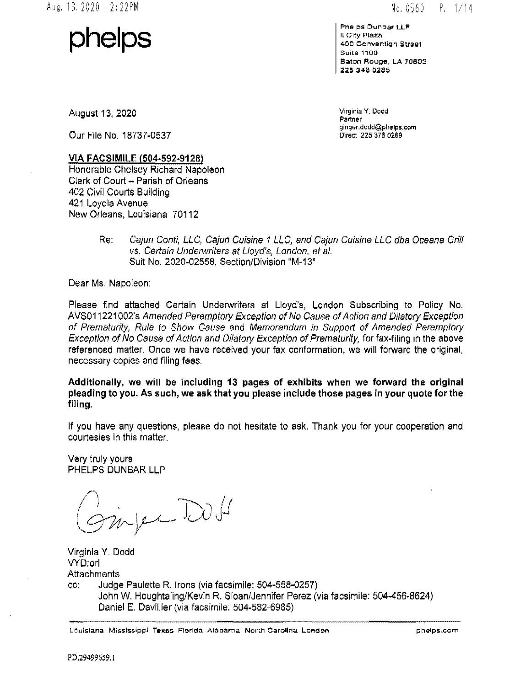Aug.l3.2020 2:22PM

 $No. 0560 P. 1/14$ 

**phelps** 

**?helps Dunbar LLP**  II City Plaza **400 Convention Street** Suite 1100 Baton Rouge, LA 70802 225 346 0285

August 13, 2020

Our File No. 18737-0537

Virginia **Y. Oodd**  Partner ginger.dodd@phelps.corn Direct 225 376 0269

#### VIA FACSIMILE (504-592-9128)

Honorable Chelsey Richard Napoleon Clerk of Court- Parish of Orleans 402 Civil Courts Building 421 Loyola Avenue New Orleans, Louisiana 70112

> Re: Cajun Conti, LLC, Cajun Cuisine 1 LLC, and Cajun Cuisine LLC dba Oceana Grill vs. Certain Underwriters at Lloyd's, London, et at. Suit No. 2020-02558, Section/Division "M-13"

Dear Ms. Napoleon:

Please find attached Certain Underwriters at Lloyd's, London Subscribing to Policy No. AVS011221 002's Amended Peremptory Exception of No Cause of Action and Dilatory Exception of Prematurity, Rule to Show Cause and Memorandum in Support of Amended Peremptory Exception of No Cause of Action and Dilatory Exception of Prematurity, for fax-filing in the above referenced matter. Once we have received your fax conformation, we will forward the original, necessary copies and filing fees.

Additionally, we will be including 13 pages of exhibits when we forward the original pleading to you. As such, we ask that you please include those pages in your quote for the filing.

If you have any questions, please do not hesitate to ask. Thank you for your cooperation and courtesies in this matter.

Very truly yours, PHELPS DUNBAR LLP

infer Doll

Virginia Y. Dodd VYD:orl **Attachments** cc: Judge Paulette R. Irons (via facsimile: 504-558-0257) John W. Houghtaling/Kevin R. Sloan/Jennifer Perez (via facsimile: 504-456-8624) Daniel E. Davillier (via facsimile; 504-582-6985)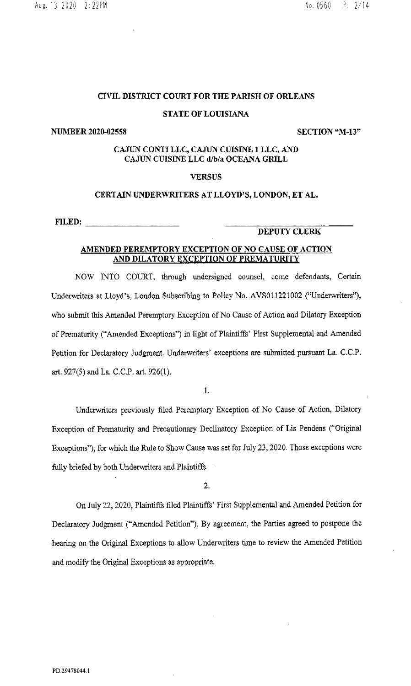#### **CIVIL DISTRICT COURT FOR THE PARISH OF ORLEANS**

#### **STATE OF LOUISIANA**

#### **NUMBER 2020-02558** SECTION "M-13"

## **CAJUN CONTI LLC, CAJUN CUISINE 1 LLC, AND CAJUN CUISINE LLC d/b/a OCEANA GRILL**

## **VERSUS**

#### **CERTAIN UNDERWRITERS AT LLOYD'S, LONDON, ET AL.**

**FILED:** \_\_\_\_\_\_\_ \_

## **DEPUTY CLERK**

## **AMENDED PEREMPTORY EXCEPTION OF NO CAUSE OF ACTION AND DILATORY EXCEPTION OF PREMATURITY**

NOW NTO COURT, through undersigned counsel, come defendants, Certain Underwriters at Lloyd's, London Subscribing to Policy No. AVS011221002 ("Underwriters"), who submit this Amended Peremptory Exception of No Cause of Action and Dilatory Exception of Prematurity ("Amended Exceptions") in light of Plaintiffs' First Supplemental and Amended Petition for Declaratory Judgment. Underwriters' exceptions are submitted pursuant La. C.C.P. art. 927(5) and La. C.C.P. art. 926(1).

I.

Underwriters previously filed Peremptory Exception of No Cause of Action, Dilatory Exception of Prematurity and Precautionary Declinatory Exception of Lis Pendens ("Original Exceptions"), for which the Rule to Show Cause was set for July 23, 2020. Those exceptions were fully briefed by both Underwriters and Plaintiffs.

2.

On July 22, 2020, Plaintiffs filed Plaintiffs' First Supplemental and Amended Petition for Declaratory Judgment ("Amended Petition"). By agreement, the Parties agreed to postpone the hearing on the Original Exceptions to allow Underwriters time to review the Amended Petition and modify the Original Exceptions as appropriate.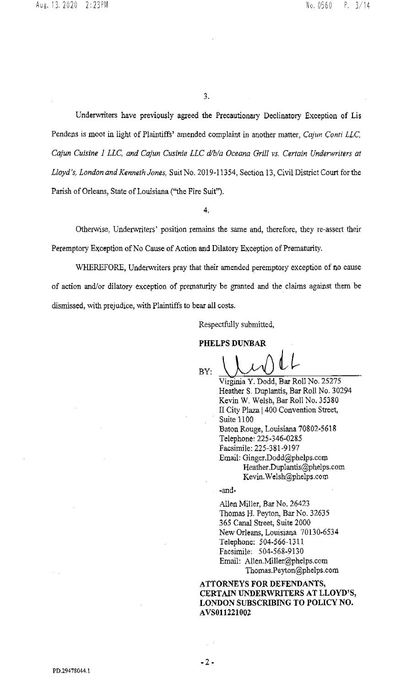3.

Underwriters have previously agreed the Precautionary Declinatory Exception of Lis Pendens is moot in light of Plaintiffs' amended complaint in another matter, *Cajun Conti LLC, Cajun Cuisine 1 LLC, and Cajun Cusinie LLC d/b/a Oceana Grill vs. Certain Underwriters at Lloyd's, London and Kenneth Jones,* Suit No. 2019-11354, Section 13, Civil District Court for the Parish of Orleans, State of Louisiana ("the Fire Suit").

**4.** 

Otherwise, Underwriters' position remains the same and, therefore, they re-assert their Peremptory Exception of No Cause of Action and Dilatory Exception of Prematurity.

WHEREFORE, Underwriters pray that their amended peremptory exception of no cause of action and/or dilatory exception of prematurity be granted and the claims against them be dismissed, with prejudice, with Plaintiffs to bear all costs.

Respectfully submitted,

**PHELPS DUNBAR** 

 $B_Y: \cup \cup \cup \cup \cup \cup$ 

Virginia Y. Dodd, Bar Roll No. 25275 Heather S. Duplantis, Bar Roll No. 30294 Kevin W. Welsh, Bar Roll No. 35380 II City Plaza 1400 Convention Street, Suite 1100 Baton Rouge, Louisiana 70802-5618 Telephone: 225-346-0285 Facsimile: 225-381-9197 Email: Ginger.Dodd@phelps.com Heather.Duplantis@phelps.com Kevin. Welsh@phelps.com

-and-

Allen Miller, Bar No. 26423 Thomas H. Peyton, Bar No. 32635 365 Canal Street, Suite 2000 New Orleans, Louisiana 70130-6534 Telephone: 504-566-1311 Facsimile: 504-568-9130 Email: Allen.Miller@phelps.com Thomas.Peyton@phelps.com

**ATTORNEYS FOR DEFENDANTS, CERTAIN UNDERWRITERS AT LLOYD'S, LONDON SUBSCRIBING TO POLICY NO. AVS011221002** 

PD.29478044. I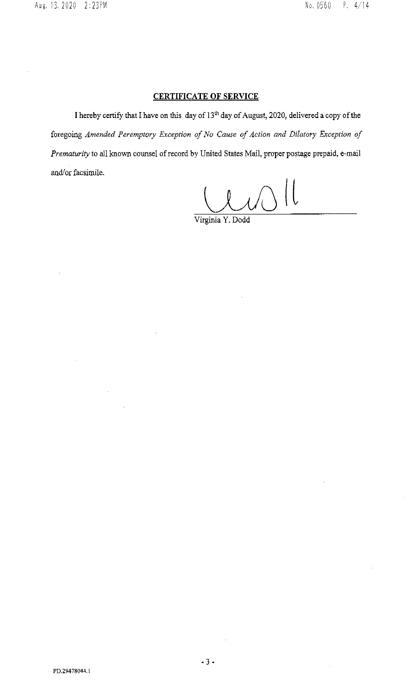## **CERTIFICATE OF SERVICE**

I hereby certify that I have on this day of 13th day of August, 2020, delivered a copy of the foregoing *Amended Peremptory Exception of No Cause of Action and Dilatory Exception of Prematurity* to all known counsel of record by United States Mail, proper postage prepaid, e-mail and/or facsimile.

 $\vert\vert$ 

Virginia Y. Dodd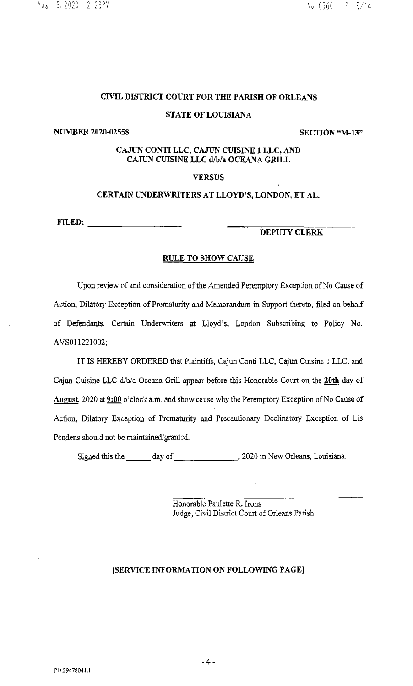## CIVIL DISTRICT COURT FOR THE PARISH OF ORLEANS

## STATE OF LOUISIANA

NUMBER 2020-02558 SECTION "M-13"

## CAJUN CONTI LLC, CAJUN CUISINE 1 LLC, AND CAJUN CUISINE LLC d/b/a OCEANA GRILL

## VERSUS

#### CERTAIN UNDERWRITERS AT LLOYD'S, LONDON, ET AL.

FILED: -------- DEPUTY CLERK

#### RULE TO SHOW CAUSE

Upon review of and consideration of the Amended Peremptory Exception of No Cause of Action, Dilatory Exception of Prematurity and Memorandum in Support thereto, filed on behalf of Defendants, Certain Underwriters at Lloyd's, London Subscribing to Policy No. AVS011221002;

IT IS HEREBY ORDERED that Plaintiffs, Cajun Conti LLC, Cajun Cuisine l LLC, and Cajun Cuisine LLC d/b/a Oceana Grill appear before this Honorable Court on the 20th day of August, 2020 at 9:00 o'clock a.m. and show cause why the Peremptory Exception of No Cause of Action, Dilatory Exception of Prematurity and Precautionary Declinatory Exception of Lis Pendens should not be maintained/granted.

Signed this the \_\_\_\_\_ day of \_\_\_\_\_\_\_\_\_\_\_\_\_\_\_\_\_\_\_\_\_, 2020 in New Orleans, Louisiana.

Honorable Paulette R. Irons Judge, Civil District Court of Orleans Parish

## [SERVICE INFORMATION ON FOLLOWING PAGE]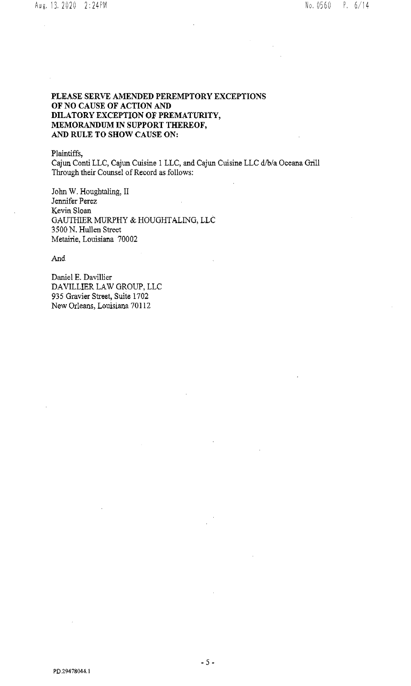## **PLEASE SERVE AMENDED PEREMPTORY EXCEPTIONS OF NO CAUSE OF ACTION AND DILATORY EXCEPTION OF PREMATURITY, MEMORANDUM IN SUPPORT THEREOF, AND RULE TO SHOW CAUSE ON:**

Plaintiffs,

Cajun Conti LLC, Cajun Cuisine 1 LLC, and Cajun Cuisine LLC d/b/a Oceana Grill Through their Counsel of Record as follows:

John W. Houghtaling, II Jennifer Perez Kevin Sloan GAUTHIER MURPHY & HOUGHTALING, LLC 3500 N. Hullen Street Metairie, Louisiana 70002

And

Daniel E. Davillier DAVILLIER LAW GROUP, LLC 935 Gravier Street, Suite 1702 New Orleans, Louisiana 70112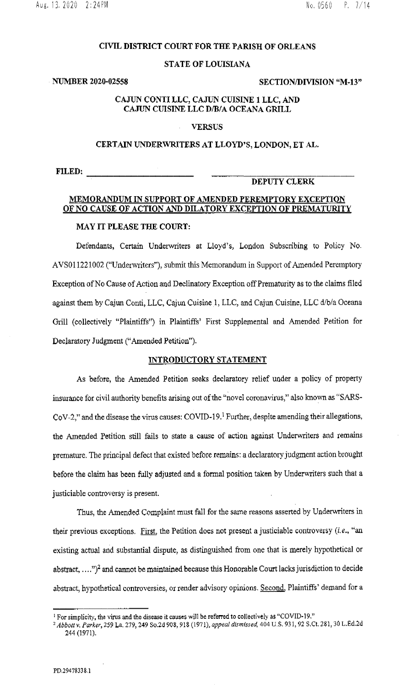#### **CIVIL DISTRICT COURT FOR THE PARISH OF ORLEANS**

#### **STATE OF LOUISIANA**

#### **NUMBER 2020-02558** SECTION/DIVISION "M-13"

#### **CAJUN CONTI LLC, CAJUN CUISINE 1 LLC, AND CAJUN CUISINE LLC D/B/A OCEANA GRILL**

#### **VERSUS**

#### **CERTAIN UNDERWRITERS AT LLOYD'S, LONDON, ET AL.**

**FILED:** ....,---------

#### **DEPUTY CLERK**

# **MEMORANDUM IN SUPPORT OF AMENDED PEREMPTORY EXCEPTION OF NO CAUSE OF ACTION AND DILATORY EXCEPTION OF PREMATURITY**

## **MAY IT PLEASE THE COURT:**

Defendants, Certain Underwriters at Lloyd's, London Subscribing to Policy No. AVS011221002 ("Underwriters"), submit this Memorandum in Support of Amended Peremptory Exception ofNo Cause of Action and Declinatory Exception off Prematurity as to the claims filed against them by Cajun Conti, LLC, Cajun Cuisine 1, LLC, and Cajun Cuisine, LLC d/b/a Oceana Grill (collectively "Plaintiffs") in Plaintiffs' First Supplemental and Amended Petition for Declaratory Judgment ("Amended Petition").

#### **INTRODUCTORY STATEMENT**

As before, the Amended Petition seeks declaratory relief under a policy of property insurance for civil authority benefits arising out of the "novel coronavirus," also known as "SARS-CoV-2," and the disease the virus causes: COVID-19.<sup>1</sup> Further, despite amending their allegations, the Amended Petition still fails to state a cause of action against Underwriters and remains premature. The principal defect that existed before remains: a declaratory judgment action brought before the claim has been fully adjusted and a formal position taken by Underwriters such that a justiciable controversy is present.

Thus, the Amended Complaint must fall for the same reasons asserted by Underwriters in their previous exceptions. First, the Petition does not present a justiciable controversy (i.e., "an existing actual and substantial dispute, as distinguished from one that is merely hypothetical or abstract,  $\dots$ ")<sup>2</sup> and cannot be maintained because this Honorable Court lacks jurisdiction to decide abstract, hypothetical controversies, or render advisory opinions. Second, Plaintiffs' demand for a

<sup>&</sup>lt;sup>1</sup> For simplicity, the virus and the disease it causes will be referred to collectively as "COVID-19."<br><sup>2</sup> Abbott v. Parker, 259 La. 279, 249 So.2d 908, 918 (1971), appeal dismissed, 404 U.S. 931, 92 S.Ct. 281, 30 L.Ed.2 244 (1971).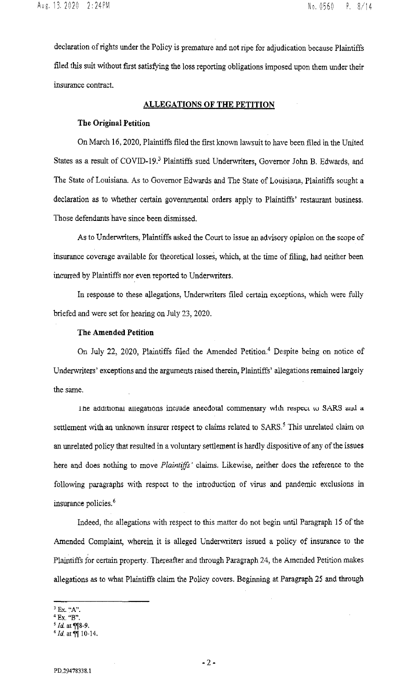declaration of rights under the Policy is premature and not ripe for adjudication because Plaintiffs filed this suit without first satisfying the loss reporting obligations imposed upon them under their insurance contract.

#### **ALLEGATIONS OF THE PETITION**

#### **The Original Petition**

On March 16, 2020, Plaintiffs filed the first known lawsuit to have been filed in the United States as a result of COVID-19.<sup>3</sup> Plaintiffs sued Underwriters, Governor John B. Edwards, and The State of Louisiana. As to Governor Edwards and The State of Louisiana, Plaintiffs sought a declaration as to whether certain governmental orders apply to Plaintiffs' restaurant business. Those defendants have since been dismissed.

As to Underwriters, Plaintiffs asked the Court to issue an advisory opinion on the scope of insurance coverage available for theoretical losses, which, at the time of filing, had neither been incurred by Plaintiffs nor even reported to Underwriters.

In response to these allegations, Underwriters filed certain exceptions, which were fully briefed and were set for hearing on July 23, 2020.

## **The Amended Petition**

On July 22, 2020, Plaintiffs filed the Amended Petition.<sup>4</sup> Despite being on notice of Underwriters' exceptions and the arguments raised therein, Plaintiffs' allegations remained largely the same.

1 ne additional allegations include anecdotal commentary with respect to SARS and a settlement with an unknown insurer respect to claims related to SARS.<sup>5</sup> This unrelated claim on an unrelated policy that resulted in a voluntary settlement is hardly dispositive of any of the issues here and does nothing to move *Plaintiffs'* claims. Likewise, neither does the reference to the following paragraphs with respect to the introduction of virus and pandemic exclusions in insurance policies. *<sup>6</sup>*

Indeed, the allegations with respect to this matter do not begin until Paragraph 15 of the Amended Complaint, wherein it is alleged Underwriters issued a policy of insurance to the Plaintiffs for certain property. Thereafter and through Paragraph 24, the Amended Petition makes allegations as to what Plaintiffs claim the Policy covers. Beginning at Paragraph 25 and through

<sup>3</sup>**Ex. '"A".** 

<sup>4</sup>**Ex. "B".** 

<sup>&</sup>lt;sup>5</sup> *Id.* at ¶¶8-9.

 $6$  *Id.* at  $\P$  10-14.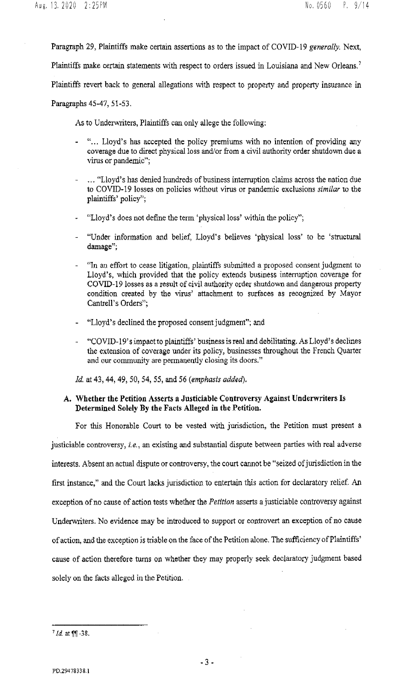Paragraph 29, Plaintiffs make certain assertions as to the impact of COVID-19 *generally.* Next, Plaintiffs make certain statements with respect to orders issued in Louisiana and New Orleans.<sup>7</sup> Plaintiffs revert back to general allegations with respect to property and property insurance in

Paragraphs 45-47, 51-53.

As to Underwriters, Plaintiffs can only allege the following:

- "... Lloyd's has accepted the policy premiums with no intention of providing any coverage due to direct physical loss and/or from a civil authority order shutdown due a virus or pandemic";
- ... "Lloyd's has denied hundreds of business interruption claims across the nation due to COVID-19 losses on policies without virus or pandemic exclusions *similar* to the plaintiffs' policy";
- "Lloyd's does not define the term 'physical loss' within the policy";
- "Under information and belief, Lloyd's believes 'physical loss' to be 'structural damage'';
- "In an effort to cease litigation, plaintiffs submitted a proposed consent judgment to Lloyd's, which provided that the policy extends business interruption coverage for COVID-19 losses as a result of civil authority order shutdown and dangerous property condition created by the virus' attachment to surfaces as recognized by Mayor Cantrell's Orders";
- "Lloyd's declined the proposed consent judgment"; and
- "COVID-19' s impact to plaintiffs' business is real and debilitating. As Lloyd's declines the extension of coverage under its policy, businesses throughout the French Quarter and our community are permanently closing its doors."

*!d.* at 43, 44, 49, 50, 54, 55, and 56 *(emphasis added).* 

## A. Whether the Petition Asserts a Justiciable Controversy Against Underwriters Is Determined Solely By the Facts Alleged in the Petition.

For this Honorable Court to be vested with jurisdiction, the Petition must present a justiciable controversy, *i.e.,* an existing and substantial dispute between parties with real adverse interests. Absent an actual dispute or controversy, the court cannot be "seized of jurisdiction in the first instance," and the Court lacks jurisdiction to entertain this action for declaratory relief. An exception of no cause of action tests whether the *Petition* asserts a justiciable controversy against Underwriters. No evidence may be introduced to support or controvert an exception of no cause of action, and the exception is triable on the face of the Petition alone. The sufficiency of Plaintiffs' cause of action therefore turns on whether they may properly seek declaratory judgment based solely on the facts alleged in the Petition.

 $71d$  at  $~11 - 38$ .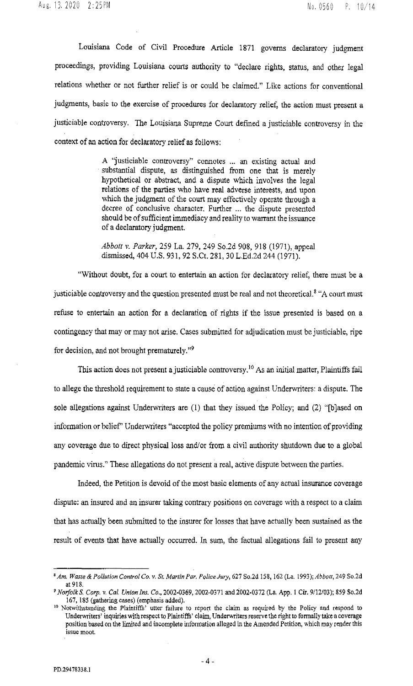Louisiana Code of Civil Procedure Article 1871 governs declaratory judgment proceedings, providing Louisiana courts authority to "declare rights, status, and other legal relations whether or not further relief is or could be claimed." Like actions for conventional judgments, basic to the exercise of procedures for declaratory relief, the action must present a justiciable controversy. The Louisiana Supreme Court defined a justiciable controversy in the context of an action for declaratory relief as follows:

> A "justiciable controversy" connotes ... an existing actual and substantial dispute, as distinguished from one that is merely hypothetical or abstract, and a dispute which involves the legal relations of the parties who have real adverse interests, and upon which the judgment of the court may effectively operate through a decree of conclusive character. Further ... the dispute presented should be of sufficient immediacy and reality to warrant the issuance of a declaratory judgment.

> *Abbott v. Parker,* 259 La. 279, 249 So.2d 908, 918 (1971),appeal dismissed, 404 U.S. 931,92 S.Ct. 281,30 L.Ed.2d 244 (1971).

"Without doubt, for a court to entertain an action for declaratory relief, there must be a justiciable controversy and the question presented must be real and not theoretical.<sup>8</sup> "A court must refuse to entertain an action for a declaration of rights if the issue presented is based on a contingency that may or may not arise. Cases submitted for adjudication must be justiciable, ripe for decision, and not brought prematurely."9

This action does not present a justiciable controversy.<sup>10</sup> As an initial matter, Plaintiffs fail to allege the threshold requirement to state a cause of action against Underwriters: a dispute. The sole allegations against Underwriters are (1) that they issued the Policy; and (2) "[b]ased on information or belief' Underwriters "accepted the policy premiums with no intention of providing any coverage due to direct physical loss and/or from a civil authority shutdown due to a global pandemic virus." These allegations do not present a real, active dispute between the parties.

Indeed, the Petition is devoid of the most basic elements of any acmal insurance coverage dispute: an insured and an insurer taking contrary positions on coverage with a respect to a claim that has actually been submitted to the insurer for losses that have actually been sustained as the result of events that have actually occurred. In sum, the factual allegations fail to present any

*<sup>&#</sup>x27;Am. Waste* & *Pollution Control Co. v.* Sr. *Martin Par. Police Jury,* 627 So.2d 158, !62 (La. !993); *Abbott,* 249 So.2d at 918.

*<sup>&#</sup>x27;Noifolk* S. *Corp.* v. *Cal\_ Union Ins. Co.,* 2002·0369, 2002-0371 and 2002·0372 (La. App. 1 Cir. 9/12/03); 859 So.2d 167, 185 (gathering cases) (emphasis added).

<sup>&</sup>lt;sup>10</sup> Notwithstanding the Plaintiffs' utter failure to report the claim as required by the Policy and respond to Underwriters' inquiries with respect to Plaintiffs' claim, Underwriters reserve the right to fonnally take a coverage position based on the limited and incomplete information alleged in the Amended Petition, which may render this issue moot.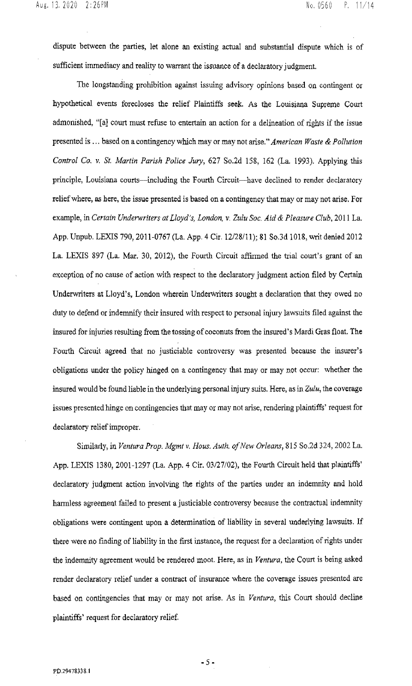dispute between the parties, let alone an existing actual and substantial dispute which is of sufficient immediacy and reality to warrant the issuance of a declaratory judgment.

The longstanding prohibition against issuing advisory opinions based on contingent or hypothetical events forecloses the relief Plaintiffs seek. As the Louisiana Supreme Court admonished, "[a] court must refuse to entertain an action tor a delineation of rights if the issue presented is ... based on a contingency which may or may not arise." *American Waste* & *Pollution Control Co. v. St. Martin Parish Police Jury,* 627 So.2d 158, 162 (La. 1993). Applying this principle, Louisiana courts—including the Fourth Circuit—have declined to render declaratory relief where, as here, the issue presented is based on a contingency that may or may not arise. For example, in *Certain Underwriters at Lloyd's, London, v. Zulu Soc. Aid* & *Pleasure Club,* 2011 La. App. Unpub. LEXIS 790,2011-0767 (La. App. 4 Cir. 12/28/11); 81 So.3d !018, writ denied 2012 La. LEXIS 897 (La. Mar. 30, 2012), the Fourth Circuit affirmed the trial court's grant of an exception of no cause of action with respect to the declaratory judgment action filed by Certain Underwriters at Lloyd's, London wherein Underwriters sought a declaration that they owed no duty to defend or indemnify their insured with respect to personal injury lawsuits filed against the insured for injuries resulting from the tossing of coconuts from the insured's Mardi Gras float. The Fourth Circuit agreed that no justiciable controversy was presented because the insurer's obligations under the policy hinged on a contingency that may or may not occur: whether the insured would be found liable in the underlying personal injury suits. Here, as in *Zulu,* the coverage issues presented hinge on contingencies that may or may not arise, rendering plaintiffs' request for declaratory relief improper.

Similarly, in *Ventura Prop. Mgmt v. Hous. Auth. of New Orleans,* 815 So.2d 324,2002 La. App. LEXIS 1380, 2001-1297 (La. App. 4 Cir. 03/27/02), the fourth Circuit held that plaintiffs' declaratory judgment action involving the rights of the parties under an indemnity and hold harmless agreement failed to present a justiciable controversy because the contractual indemnity obligations were contingent upon a determination of liability in several underlying lawsuits. If there were no tinding of liability in the first instance, the request for a declaration of rights under the indemnity agreement would be rendered moot. Here, as in *Ventura,* the Court is being asked render declaratory relief under a contract of insurance where the coverage issues presented are based on contingencies that may or may not arise. As in *Ventura,* this Court should decline plaintiffs' request for declaratory relief.

- 5-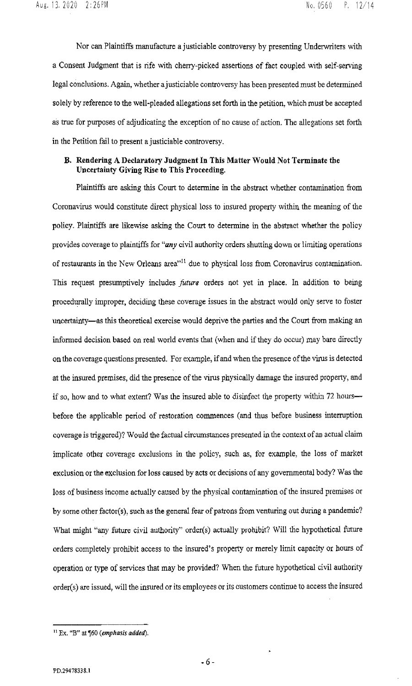Nor can Plaintiffs manufacture a justiciable controversy by presenting Underwriters with a Consent Judgment that is rife with cherry-picked assertions of fact coupled with self-serving legal conclusions. Again, whether a justiciable controversy has been presented must be determined solely by reference to the well-pleaded allegations set forth in the petition, which must be accepted as true for purposes of adjudicating the exception of no cause of action. The allegations set forth in the Petition fail to present a justiciable controversy.

## B. Rendering A Declaratory Judgment In This Matter Would Not Terminate the Uncertainty Giving Rise to This Proceeding.

Plaintiffs are asking this Court to determine in the abstract whether contamination from Corona virus would constitute direct physical loss to insured property within the meaning of the policy. Plaintiffs are likewise asking the Court to determine in the abstract whether the policy provides coverage to plaintiffs for *"any* civil authority orders shutting down or limiting operations of restaurants in the New Orleans area<sup>" 11</sup> due to physical loss from Coronavirus contamination. This request presumptively includes *future* orders not yet in place. In addition to being procedurally improper, deciding these coverage issues in the abstract would only serve to foster uncertainty-as this theoretical exercise would deprive the parties and the Court from making an informed decision based on real world events that (when and if they do occur) may bare directly on the coverage questions presented. For example, if and when the presence of the virus is detected at the insured premises, did the presence of the virus physically damage the insured property, and if so, how and to what extent? Was the insured able to disinfect the property within 72 hoursbefore the applicable period of restoration commences (and thus before business interruption coverage is triggered)? Would the factual circumstances presented in the context of an actual claim implicate other coverage exclusions in the policy, such as, for example, the loss of market exclusion or the exclusion for loss caused by acts or decisions of any governmental body? Was the loss of business income actually caused by the physical contamination of the insured premises or by some other factor(s), such as the general fear of patrons from venturing out during a pandemic? What might "any future civil authority" order(s) actually prohibit? Will the hypothetical future orders completely prohibit access to the insured's property or merely limit capacity or hours of operation or type of services that may be provided? When the future hypothetical civil authority order(s) are issued, will the insured or its employees or its customers continue to access the insured

 $11$  Ex. "B" at  $$60$  (emphasis added).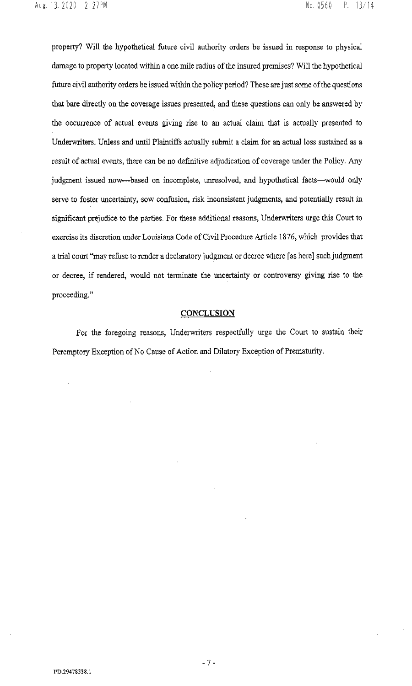property? Will the hypothetical future civil authority orders be issued in response to physical damage to property located within a one mile radius of the insured premises? Will the hypothetical future civil authority orders be issued within the policy period? These are just some of the questions that bare directly on the coverage issues presented, and these questions can only be answered by the occurrence of actual events giving rise to an actual claim that is actually presented to Underwriters. Unless and until Plaintiffs actually submit a claim for an actual loss sustained as a result of actual events, there can be no definitive adjudication of coverage under the Policy. Any judgment issued now---based on incomplete, unresolved, and hypothetical facts--would only serve to foster uncertainty, sow confusion, risk inconsistent judgments, and potentially result in significant prejudice to the parties. For these additional reasons, Underwriters urge this Court to exercise its discretion under Louisiana Code of Civil Procedure Article 1876, which provides that a trial court "may refuse to render a declaratory judgment or decree where [as here] such judgment or decree, if rendered, would not terminate the uncertainty or controversy giving rise to the proceeding."

#### **CONCLUSION**

For the foregoing reasons, Underwriters respectfully urge the Court to sustain their Peremptory Exception of No Cause of Action and Dilatory Exception of Prematurity.